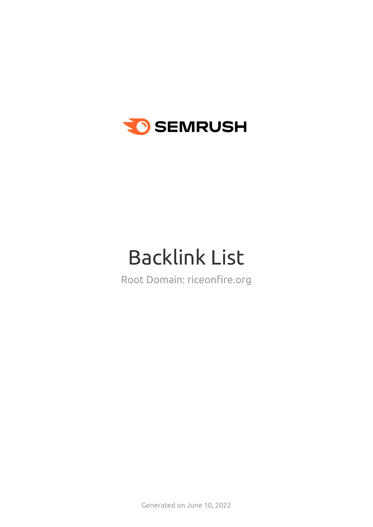

# Backlink List

Root Domain: riceonfire.org

Generated on June 10, 2022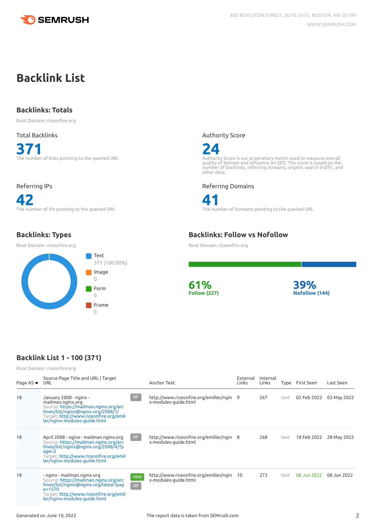

# **Backlink List**

### **Backlinks: Totals**

Root Domain: riceonfire.org

# Total Backlinks **371** The number of links pointing to the queried URL

#### Referring IPs

**42** The number of IPs pointing to the queried URL

# **Backlinks: Types**

Root Domain: riceonfire.org



#### Authority Score



Authority Score is our proprietary metric used to measure overall<br>quality of domain and influence on SEO. The score is based on the<br>number of backlinks, referring domains, organic search traffic, and<br>other data.

Referring Domains



**41** The number of Domains pointing to the queried URL

# **Backlinks: Follow vs Nofollow**

Root Domain: riceonfire.org





# **Backlink List 1 - 100 (371)**

Root Domain: riceonfire.org

| Page AS $\blacktriangledown$ | Source Page Title and URL   Target<br>URL                                                                                                                                                                      |           | Anchor Text                                                      | External<br>Links | Internal<br>Links | Type | First Seen  | Last Seen   |
|------------------------------|----------------------------------------------------------------------------------------------------------------------------------------------------------------------------------------------------------------|-----------|------------------------------------------------------------------|-------------------|-------------------|------|-------------|-------------|
| 18                           | January 2008 - nginx -<br>mailman.nginx.org<br>Source: https://mailman.nginx.org/arc<br>hives/list/nginx@nginx.org/2008/1/<br>Target: http://www.riceonfire.org/emil<br>ler/nginx-modules-guide.html           | NF        | http://www.riceonfire.org/emiller/ngin 9<br>x-modules-quide.html |                   | 267               | text | 02 Feb 2022 | 03 May 2022 |
| 18                           | April 2008 - nginx - mailman.nginx.org<br>Source: https://mailman.nginx.org/arc<br>hives/list/nginx@nginx.org/2008/4/?p<br>$age = 2$<br>Target: http://www.riceonfire.org/emil<br>ler/nginx-modules-guide.html | NF        | http://www.riceonfire.org/emiller/ngin 8<br>x-modules-quide.html |                   | 268               | text | 18 Feb 2022 | 28 May 2022 |
| 18                           | - nginx - mailman.nginx.org<br>Source: https://mailman.nginx.org/arc<br>hives/list/nginx@nginx.org/latest?pag<br>$e = 1570$<br>Target: http://www.riceonfire.org/emil<br>ler/nginx-modules-guide.html          | new<br>NF | http://www.riceonfire.org/emiller/ngin<br>x-modules-quide.html   | 10                | 273               | text | 08 Jun 2022 | 08 Jun 2022 |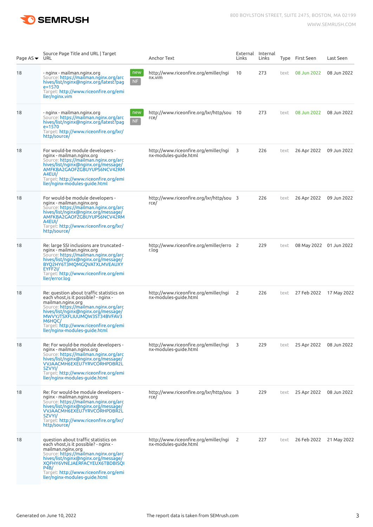

| Page AS ▼ URL | Source Page Title and URL   Target                                                                                                                                                                                                                                                                        |                  | Anchor Text                                                    | Links | External Internal<br>Links |      | Type First Seen | Last Seen               |
|---------------|-----------------------------------------------------------------------------------------------------------------------------------------------------------------------------------------------------------------------------------------------------------------------------------------------------------|------------------|----------------------------------------------------------------|-------|----------------------------|------|-----------------|-------------------------|
| 18            | - nginx - mailman.nginx.org<br>Source: https://mailman.nginx.org/arc<br>hives/list/nginx@nginx.org/latest?pag<br>$e = 1570$<br>Target: http://www.riceonfire.org/emi<br>ller/nginx.vim                                                                                                                    | new<br>$\sf{NF}$ | http://www.riceonfire.org/emiller/ngi<br>nx.vim                | 10    | 273                        | text | 08 Jun 2022     | 08 Jun 2022             |
| 18            | - nginx - mailman.nginx.org<br>Source: https://mailman.nginx.org/arc<br>hives/list/nginx@nginx.org/latest?pag<br>$e = 1570$<br>Target: http://www.riceonfire.org/lxr/<br>http/source/                                                                                                                     | new<br>NF        | http://www.riceonfire.org/lxr/http/sou 10<br>rce/              |       | 273                        | text | 08 Jun 2022     | 08 Jun 2022             |
| 18            | For would-be module developers -<br>nginx - mailman.nginx.org<br>Source: https://mailman.nginx.org/arc<br>hives/list/nginx@nginx.org/message/<br>AMFKBA2GAOFZGBUYUPS6NCV42RM<br>A4EUI/<br>Target: http://www.riceonfire.org/emi<br>ller/nginx-modules-guide.html                                          |                  | http://www.riceonfire.org/emiller/ngi<br>nx-modules-guide.html | 3     | 226                        | text | 26 Apr 2022     | 09 Jun 2022             |
| 18            | For would-be module developers -<br>nginx - mailman.nginx.org<br>Source: https://mailman.nginx.org/arc<br>hives/list/nginx@nginx.org/message/<br>AMFKBA2GAOFZGBUYUPS6NCV42RM<br>A4EUI/<br>Target: http://www.riceonfire.org/lxr/<br>http/source/                                                          |                  | http://www.riceonfire.org/lxr/http/sou 3<br>rce/               |       | 226                        | text | 26 Apr 2022     | 09 Jun 2022             |
| 18            | Re: large SSI inclusions are truncated -<br>nginx - mailman.nginx.org<br>Source: https://mailman.nginx.org/arc<br>hives/list/nginx@nginx.org/message/<br>ΒΥQ2ΗΥ6Τ3ΜQΜGQVATXLMVEAUXY<br>EYFF2I/<br>Target: http://www.riceonfire.org/emi<br>ller/error.log                                                 |                  | http://www.riceonfire.org/emiller/erro 2<br>r.log              |       | 229                        | text |                 | 08 May 2022 01 Jun 2022 |
| 18            | Re: question about traffic statistics on<br>each vhost, is it possible? - nginx -<br>mailman.nginx.org<br>Source: https://mailman.nginx.org/arc<br>hives/list/nginx@nginx.org/message/<br>MWVYJTSXFLIUUMQW3ST34BVFAV3<br>M6HQC/<br>Target: http://www.riceonfire.org/emi<br>ller/nginx-modules-guide.html |                  | http://www.riceonfire.org/emiller/ngi<br>nx-modules-guide.html | 2     | 226                        | text | 27 Feb 2022     | 17 May 2022             |
| 18            | Re: For would-be module developers -<br>nginx - mailman.nginx.org<br>Source: https://mailman.nginx.org/arc<br>hives/list/nginx@nginx.org/message/<br>VVJAACMH6EXEU7YRVCORHPDBR2L<br>5ZVYI/<br>Target: http://www.riceonfire.org/emi<br>ller/nginx-modules-guide.html                                      |                  | http://www.riceonfire.org/emiller/ngi<br>nx-modules-guide.html | 3     | 229                        | text | 25 Apr 2022     | 08 Jun 2022             |
| 18            | Re: For would-be module developers -<br>nginx - mailman.nginx.org<br>Source: https://mailman.nginx.org/arc<br>hives/list/nginx@nginx.org/message/<br>VVJAACMH6EXEU7YRVCORHPDBR2L<br>5ZVYI/<br>Target: http://www.riceonfire.org/lxr/<br>http/source/                                                      |                  | http://www.riceonfire.org/lxr/http/sou 3<br>rce/               |       | 229                        | text | 25 Apr 2022     | 08 Jun 2022             |
| 18            | question about traffic statistics on<br>each vhost, is it possible? - nginx -<br>mailman.nginx.org<br>Source: https://mailman.nginx.org/arc<br>hives/list/nginx@nginx.org/message/<br>XQFHY6VNEJAERFACYEUX6TBDBISQI<br>P4B/<br>Target: http://www.riceonfire.org/emi<br>ller/nginx-modules-guide.html     |                  | http://www.riceonfire.org/emiller/ngi<br>nx-modules-guide.html | 2     | 227                        | text | 26 Feb 2022     | 21 May 2022             |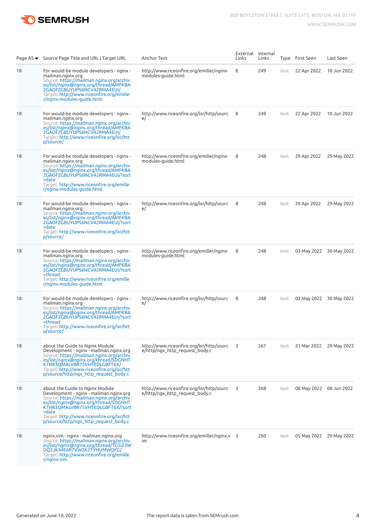

|    | Page $AS \blacktriangleright$ Source Page Title and URL   Target URL                                                                                                                                                                                                                               | Anchor Text                                                                | Links | External Internal<br>Links |      | Type First Seen | Last Seen               |
|----|----------------------------------------------------------------------------------------------------------------------------------------------------------------------------------------------------------------------------------------------------------------------------------------------------|----------------------------------------------------------------------------|-------|----------------------------|------|-----------------|-------------------------|
| 18 | For would-be module developers - nginx -<br>mailman.nginx.org<br>Source: https://mailman.nginx.org/archiv<br>es/list/nginx@nginx.org/thread/AMFKBA<br>2GAOFZGBUYUPS6NCV42RMA4EUI/<br>Target: http://www.riceonfire.org/emille<br>r/nginx-modules-guide.html                                        | http://www.riceonfire.org/emiller/nginx-<br>modules-guide.html             | 8     | 249                        | text | 22 Apr 2022     | 10 Jun 2022             |
| 18 | For would-be module developers - nginx -<br>mailman.nginx.org<br>Source: https://mailman.nginx.org/archiv<br>es/list/nginx@nginx.org/thread/AMFKBA<br>2GAOFZGBUYUPS6NCV42RMA4EUI/<br>Target: http://www.riceonfire.org/lxr/htt<br>p/source/                                                        | http://www.riceonfire.org/lxr/http/sourc<br>e/                             | 8     | 249                        | text | 22 Apr 2022     | 10 Jun 2022             |
| 18 | For would-be module developers - nginx -<br>mailman.nginx.org<br>Source: https://mailman.nginx.org/archiv<br>es/list/nginx@nginx.org/thread/AMFKBA<br>2GAOFZGBUYUPS6NCV42RMA4EUI/?sort<br>=date<br>Target: http://www.riceonfire.org/emille<br>r/nginx-modules-guide.html                          | http://www.riceonfire.org/emiller/nginx-<br>modules-guide.html             | 8     | 248                        | text | 29 Apr 2022     | 29 May 2022             |
| 18 | For would-be module developers - nginx -<br>mailman.nginx.org<br>Source: https://mailman.nginx.org/archiv<br>es/list/nginx@nginx.org/thread/AMFKBA<br>2GAOFZGBUYUPS6NCV42RMA4EUI/?sort<br>=date<br>Target: http://www.riceonfire.org/lxr/htt<br>p/source/                                          | http://www.riceonfire.org/lxr/http/sourc<br>e/                             | 8     | 248                        | text | 29 Apr 2022     | 29 May 2022             |
| 18 | For would-be module developers - nginx -<br>mailman.nginx.org<br>Source: https://mailman.nginx.org/archiv<br>es/list/nginx@nginx.org/thread/AMFKBA<br>2GAOFZGBUYUPS6NCV42RMA4EUI/?sort<br>=thread<br>Target: http://www.riceonfire.org/emille<br>r/nginx-modules-guide.html                        | http://www.riceonfire.org/emiller/nginx-<br>modules-guide.html             | 8     | 248                        | text |                 | 03 May 2022 30 May 2022 |
| 18 | For would-be module developers - nginx -<br>mailman.nginx.org<br>Source: https://mailman.nginx.org/archiv<br>es/list/nginx@nginx.org/thread/AMFKBA<br>2GAOFZGBUYUPS6NCV42RMA4EUI/?sort<br>=thread<br>Target: http://www.riceonfire.org/lxr/htt<br>p/source/                                        | http://www.riceonfire.org/lxr/http/sourc<br>e/                             | 8     | 248                        | text |                 | 03 May 2022 30 May 2022 |
| 18 | about the Guide to Nginx Module<br>Development - nginx - mailman.nginx.org<br>Source: https://mailman.nginx.org/archiv<br>es/list/nginx@nginx.org/thread/SDGNHT<br>K7HR3QMALVBR75VHTEDLGBFT6X/<br>Target: http://www.riceonfire.org/lxr/htt<br>p/source/http/ngx_http_request_body.c               | http://www.riceonfire.org/lxr/http/sourc<br>e/http/ngx http request body.c | 3     | 267                        | text |                 | 21 Mar 2022 29 May 2022 |
| 18 | about the Guide to Nginx Module<br>Development - nginx - mailman.nginx.org<br>Source: https://mailman.nginx.org/archiv<br>es/list/nginx@nginx.org/thread/SDGNHT<br>K7HR3QMALVBR75VHTEDLGBFT6X/?sort<br>=date<br>Target: http://www.riceonfire.org/lxr/htt<br>p/source/http/ngx_http_request_body.c | http://www.riceonfire.org/lxr/http/sourc<br>e/http/ngx http request body.c | 3     | 268                        | text |                 | 08 May 2022 08 Jun 2022 |
| 18 | nginx.vim - nginx - mailman.nginx.org<br>Source: https://mailman.nginx.org/archiv<br>es/list/nginx@nginx.org/thread/TG5I23W<br>DQ2JK44E6R7VW2K2TYHUMWQFG/<br>Target: http://www.riceonfire.org/emille<br>$r/$ nginx.vim                                                                            | http://www.riceonfire.org/emiller/nginx.v 3<br>im                          |       | 260                        | text |                 | 05 May 2022 29 May 2022 |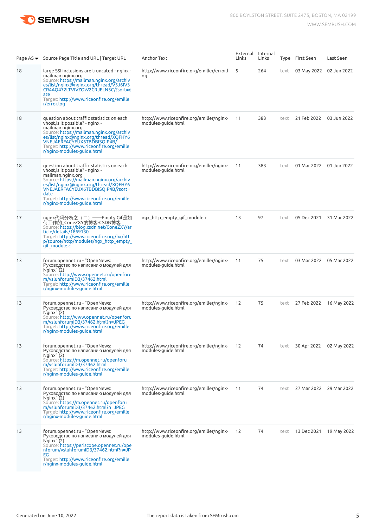

|    | Page AS ▼ Source Page Title and URL   Target URL                                                                                                                                                                                                                                                               | Anchor Text                                                    | External Internal<br>Links | Links |      | Type First Seen           | Last Seen                 |
|----|----------------------------------------------------------------------------------------------------------------------------------------------------------------------------------------------------------------------------------------------------------------------------------------------------------------|----------------------------------------------------------------|----------------------------|-------|------|---------------------------|---------------------------|
| 18 | large SSI inclusions are truncated - nginx -<br>mailman.nginx.org<br>Source: https://mailman.nginx.org/archiv<br>es/list/nginx@nginx.org/thread/V5J6IV3<br>CR4AQ472LTVIVZOW2CRJELN5C/?sort=d<br>ate<br>Target: http://www.riceonfire.org/emille                                                                | http://www.riceonfire.org/emiller/error.l<br>og                | 5                          | 264   | text | 03 May 2022 02 Jun 2022   |                           |
| 18 | r/error.log<br>question about traffic statistics on each<br>vhost, is it possible? - nginx -<br>mailman.nginx.org<br>Source: https://mailman.nginx.org/archiv<br>es/list/nginx@nginx.org/thread/XQFHY6<br>VNEJÁEŘFACYEUX6TBDBISQIP4B<br>Target: http://www.riceonfire.org/emille<br>r/nginx-modules-guide.html | http://www.riceonfire.org/emiller/nginx-<br>modules-guide.html | 11                         | 383   | text | 21 Feb 2022 03 Jun 2022   |                           |
| 18 | question about traffic statistics on each<br>vhost, is it possible? - nginx -<br>mailman.nginx.org<br>Source: https://mailman.nginx.org/archiv<br>es/list/nginx@nginx.org/thread/XQFHY6<br>VNEJAERFACYEUX6TBDBISQIP4B/?sort=<br>date<br>Target: http://www.riceonfire.org/emille<br>r/nginx-modules-quide.html | http://www.riceonfire.org/emiller/nginx-<br>modules-guide.html | 11                         | 383   | text | 01 Mar 2022   01 Jun 2022 |                           |
| 17 | nginx代码分析之 (二) ——Empty Gif是如<br>何工作的_ConeZXY的博客-CSDN博客<br>Source: https://blog.csdn.net/ConeZXY/ar<br>ticle/details/1869130<br>Target: http://www.riceonfire.org/lxr/htt<br>p/source/http/modules/ngx_http_empty_<br>gif module.c                                                                              | ngx http empty gif module.c                                    | 13                         | 97    | text |                           | 05 Dec 2021 31 Mar 2022   |
| 13 | forum.opennet.ru - "OpenNews:<br>Руководство по написанию модулей для<br>Nqinx''(2)<br>Source: http://www.opennet.ru/openforu<br>m/vsluhforumID3/37462.html<br>Target: http://www.riceonfire.org/emille<br>r/nginx-modules-guide.html                                                                          | http://www.riceonfire.org/emiller/nginx-<br>modules-guide.html | 11                         | 75    | text |                           | 03 Mar 2022   05 Mar 2022 |
| 13 | forum.opennet.ru - "OpenNews:<br>Руководство по написанию модулей для<br>Nginx" (2)<br>Source: http://www.opennet.ru/openforu<br>m/vsluhforumID3/37462.html?n=JPEG<br>Target: http://www.riceonfire.org/emille<br>r/nginx-modules-guide.html                                                                   | http://www.riceonfire.org/emiller/nginx-<br>modules-quide.html | 12                         | 75    | text |                           | 27 Feb 2022 16 May 2022   |
| 13 | forum.opennet.ru - "OpenNews:<br>Руководство по написанию модулей для<br>Nginx''(2)<br>Source: https://m.opennet.ru/openforu<br>m/vsluhforumiD3/37462.html<br>Target: http://www.riceonfire.org/emille<br>r/nginx-modules-guide.html                                                                           | http://www.riceonfire.org/emiller/nginx-<br>modules-guide.html | 12                         | 74    | text |                           | 30 Apr 2022 02 May 2022   |
| 13 | forum.opennet.ru - "OpenNews:<br>Руководство по написанию модулей для<br>Nginx''(2)<br>Source: https://m.opennet.ru/openforu<br>m/vsluhforumID3/37462.html?n=JPEG<br>Target: http://www.riceonfire.org/emille<br>r/nginx-modules-guide.html                                                                    | http://www.riceonfire.org/emiller/nginx-<br>modules-guide.html | 11                         | 74    | text |                           | 27 Mar 2022 29 Mar 2022   |
| 13 | forum.opennet.ru - "OpenNews:<br>Руководство по написанию модулей для<br>Nqinx''(2)<br>Source: https://periscope.opennet.ru/ope<br>nforum/vsluhforumID3/37462.html?n=JP<br>EG<br>Target: http://www.riceonfire.org/emille<br>r/nginx-modules-guide.html                                                        | http://www.riceonfire.org/emiller/nginx-<br>modules-guide.html | 12                         | 74    | text | 13 Dec 2021  19 May 2022  |                           |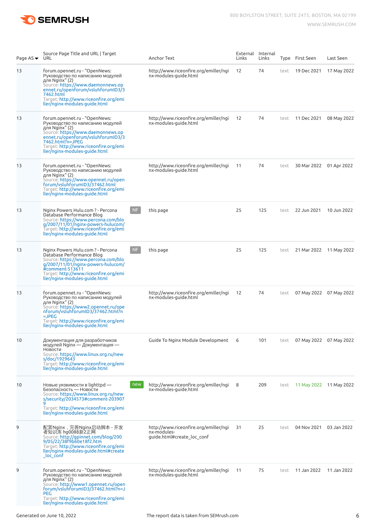

| Page AS ▼ URL | Source Page Title and URL   Target                                                                                                                                                                                                                           |           | Anchor Text                                                                        | External Internal<br>Links | Links |      | Type First Seen         | Last Seen               |
|---------------|--------------------------------------------------------------------------------------------------------------------------------------------------------------------------------------------------------------------------------------------------------------|-----------|------------------------------------------------------------------------------------|----------------------------|-------|------|-------------------------|-------------------------|
| 13            | forum.opennet.ru - "OpenNews:<br>Руководство по написанию модулей<br>для Nginx" (2)<br>Source: https://www.daemonnews.op<br>ennet.ru/openforum/vsluhforumID3/3<br>7462.html<br>Target: http://www.riceonfire.org/emi<br>ller/nginx-modules-guide.html        |           | http://www.riceonfire.org/emiller/ngi<br>nx-modules-guide.html                     | 12                         | 74    | text | 19 Dec 2021             | 17 May 2022             |
| 13            | forum.opennet.ru - "OpenNews:<br>Руководство по написанию модулей<br>для Nginx" (2)<br>Source: https://www.daemonnews.op<br>ennet.ru/openforum/vsluhforumID3/3<br>7462.html?n=JPEG<br>Target: http://www.riceonfire.org/emi<br>ller/nginx-modules-guide.html |           | http://www.riceonfire.org/emiller/ngi<br>nx-modules-guide.html                     | 12                         | 74    | text | 11 Dec 2021             | 08 May 2022             |
| 13            | forum.opennet.ru - "OpenNews:<br>Руководство по написанию модулей<br>для Nginx" (2)<br>Source: https://www.opennet.ru/open<br>forum/vsluhforumID3/37462.html<br>Target: <b>http://www.riceonfire.org/emi</b><br>ller/nginx-modules-guide.html                |           | http://www.riceonfire.org/emiller/ngi<br>nx-modules-guide.html                     | 11                         | 74    | text | 30 Mar 2022 01 Apr 2022 |                         |
| 13            | Nginx Powers Hulu.com ? - Percona<br>Database Performance Blog<br>Source: https://www.percona.com/blo<br>g/2007/11/01/nginx-powers-hulucom/<br>Target: http://www.riceonfire.org/emi<br>ller/nginx-modules-guide.html                                        | NF        | this page                                                                          | 25                         | 125   | text | 22 Jun 2021             | 10 Jun 2022             |
| 13            | Nginx Powers Hulu.com ? - Percona<br>Database Performance Blog<br>Source: https://www.percona.com/blo<br>g/2007/11/01/nginx-powers-hulucom/<br>#comment-513611<br>Target: <b>http://www.riceonfire.org/emi</b><br>ller/nginx-modules-guide.html              | <b>NF</b> | this page                                                                          | 25                         | 125   | text |                         | 21 Mar 2022 11 May 2022 |
| 13            | forum.opennet.ru - "OpenNews:<br>Руководство по написанию модулей<br>для Nginx" (2)<br>Source: https://www2.opennet.ru/ope<br>nforum/vsluhforumID3/37462.html?n<br>$=$ JPEG<br>Target: http://www.riceonfire.org/emi<br>ller/nginx-modules-guide.html        |           | http://www.riceonfire.org/emiller/ngi<br>nx-modules-guide.html                     | 12                         | 74    | text |                         | 07 May 2022 07 May 2022 |
| 10            | Документация для разработчиков<br>модулей Nginx — Документация —<br>Новости<br>Source: https://www.linux.org.ru/new<br>s/doc/1929643<br>Target: http://www.riceonfire.org/emi<br>ller/nginx-modules-guide.html                                               |           | Guide To Nginx Module Development                                                  | 6                          | 101   | text |                         | 07 May 2022 07 May 2022 |
| 10            | Новые уязвимости в lighttpd —<br>Безопасность - Новости<br>Source: https://www.linux.org.ru/new<br>s/security/2034573#comment-203907<br>Target: <b>http://www.riceonfire.org/emi</b><br>ller/nginx-modules-guide.html                                        | new       | http://www.riceonfire.org/emiller/ngi<br>nx-modules-guide.html                     | 8                          | 209   | text |                         | 11 May 2022 11 May 2022 |
| 9             | 配置Nginx,完善Nginx启动脚本 - 开发<br>者知识库 hg0088新2正网<br>Source: http://gpinnet.com/blog/200<br>9/05/22/38f9b60e18f2.htm<br>Target: http://www.riceonfire.org/emi<br>ller/nginx-modules-guide.html#create<br>_loc_conf                                                 |           | http://www.riceonfire.org/emiller/ngi<br>nx-modules-<br>guide.html#create loc conf | 31                         | 25    | text | 04 Nov 2021 03 Jan 2022 |                         |
| 9             | forum.opennet.ru - "OpenNews:<br>Руководство по написанию модулей<br>для Nginx" (2)<br>Source: http://www1.opennet.ru/open<br>forum/vsluhforumID3/37462.html?n=J<br><b>PEG</b><br>Target: http://www.riceonfire.org/emi<br>ller/nginx-modules-guide.html     |           | http://www.riceonfire.org/emiller/ngi<br>nx-modules-guide.html                     | 11                         | 75    | text | 11 Jan 2022             | 11 Jan 2022             |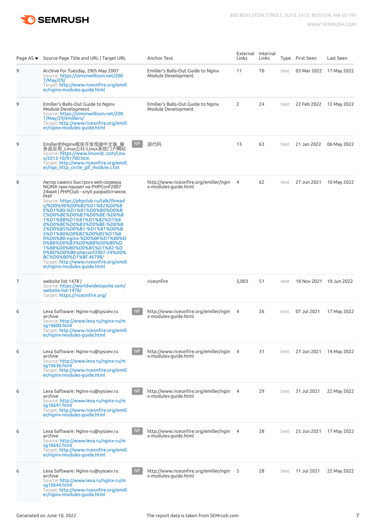

|  |  | www.semrush.com |
|--|--|-----------------|
|--|--|-----------------|

|   | Page AS ▼ Source Page Title and URL   Target URL                                                                                                                                                                                                                                                                                                                                                                                                                                                                                                                                                            |           | Anchor Text                                                      | Links          | External Internal<br>Links |      | Type First Seen          | Last Seen               |
|---|-------------------------------------------------------------------------------------------------------------------------------------------------------------------------------------------------------------------------------------------------------------------------------------------------------------------------------------------------------------------------------------------------------------------------------------------------------------------------------------------------------------------------------------------------------------------------------------------------------------|-----------|------------------------------------------------------------------|----------------|----------------------------|------|--------------------------|-------------------------|
| 9 | Archive for Tuesday, 29th May 2007<br>Source: https://simonwillison.net/200<br>7/May/29/<br>Target: http://www.riceonfire.org/emill<br>er/nginx-modules-guide.html                                                                                                                                                                                                                                                                                                                                                                                                                                          |           | Emiller's Balls-Out Guide to Nginx<br>Module Development         | 11             | 70                         | text |                          | 03 Mar 2022 17 May 2022 |
| 9 | Emiller's Balls-Out Guide to Nginx<br>Module Development<br>Source: https://simonwillison.net/200<br>7/May/29/emillers/<br>Target: http://www.riceonfire.org/emill<br>er/nginx-modules-guide.html                                                                                                                                                                                                                                                                                                                                                                                                           |           | Emiller's Balls-Out Guide to Nginx<br>Module Development         | 2              | 24                         | text |                          | 22 Feb 2022 12 May 2022 |
| 9 | Emiller的Nginx模块开发指南中文版_服<br>务器应用_Linux公社-Linux系统门户网站<br>Source: https://www.linuxidc.com/Linu<br>x/2013-10/91700.htm<br>Target: http://www.riceonfire.org/emill<br>er/ngx_http_circle_gif_module.c.txt                                                                                                                                                                                                                                                                                                                                                                                                      | <b>NF</b> | 源代码                                                              | 13             | 63                         | text |                          | 21 Jan 2022 06 May 2022 |
| 8 | Автор самого быстрого веб-сервера<br>NGINX приглашает на PHPConf2007<br>24 мая   PHPClub - клуб разработчиков<br><b>PHP</b><br>Source: https://phpclub.ru/talk/thread<br>s/%D0%90%D0%B2%D1%82%D0%B<br>E%D1%80-%D1%81%D0%B0%D0%B<br>C%D0%BE%D0%B3%D0%BE-%D0%B<br>1%D1%8B%D1%81%D1%82%D1%8<br>0%D0%BE%D0%B3%D0%BE-%D0%B<br>2%D0%B5%D0%B1-%D1%81%D0%B<br>5%D1%80%D0%B2%D0%B5%D1%8<br>0%D0%B0-nginx-%D0%BF%D1%80%D<br>0%B8%D0%B3%D0%BB%D0%B0%D<br>1%88%D0%B0%D0%B5%D1%82-%D<br>0%BD%D0%B0-phpconf2007-24%D0%<br>BC%D0%B0%D1%8F.46798/<br>Target: http://www.riceonfire.org/emill<br>er/nginx-modules-guide.html |           | http://www.riceonfire.org/emiller/ngin<br>x-modules-quide.html   | 4              | 62                         | text |                          | 27 Jun 2021 10 May 2022 |
| 7 | website list 1478  <br>Source: https://worldwidetopsite.com/<br>website-list-1478/<br>Target: https://riceonfire.org/                                                                                                                                                                                                                                                                                                                                                                                                                                                                                       |           | riceonfire                                                       | 5,003          | 51                         | text |                          | 18 Nov 2021 10 Jun 2022 |
| 6 | Lexa Software: Nginx-ru@sysoev.ru<br>archive<br>Source: http://www.lexa.ru/nginx-ru/m<br>sq10600.html<br>Target: http://www.riceonfire.org/emill<br>er/nginx-modules-guide.html                                                                                                                                                                                                                                                                                                                                                                                                                             | NF        | http://www.riceonfire.org/emiller/ngin<br>x-modules-guide.html   | $\overline{4}$ | 26                         | text | 07 Jul 2021              | 17 May 2022             |
| 6 | Lexa Software: Nginx-ru@sysoev.ru<br>archive<br>Source: http://www.lexa.ru/nginx-ru/m<br>sq10636.html<br>Target: http://www.riceonfire.org/emill<br>er/nginx-modules-quide.html                                                                                                                                                                                                                                                                                                                                                                                                                             | NF        | http://www.riceonfire.org/emiller/ngin 4<br>x-modules-guide.html |                | 31                         | text | 27 Jun 2021  14 May 2022 |                         |
| 6 | Lexa Software: Nginx-ru@sysoev.ru<br>archive<br>Source: http://www.lexa.ru/nginx-ru/m<br>sg10641.html<br>Target: http://www.riceonfire.org/emill<br>er/nginx-modules-guide.html                                                                                                                                                                                                                                                                                                                                                                                                                             | <b>NF</b> | http://www.riceonfire.org/emiller/ngin 4<br>x-modules-guide.html |                | 29                         | text | 31 Jul 2021              | 22 May 2022             |
| 6 | Lexa Software: Nginx-ru@sysoev.ru<br>archive<br>Source: http://www.lexa.ru/nginx-ru/m<br>sq10642.html<br>Target: http://www.riceonfire.org/emill<br>er/nginx-modules-guide.html                                                                                                                                                                                                                                                                                                                                                                                                                             | <b>NF</b> | http://www.riceonfire.org/emiller/ngin 4<br>x-modules-guide.html |                | 28                         | text |                          |                         |
| 6 | Lexa Software: Nginx-ru@sysoev.ru<br>archive<br>Source: http://www.lexa.ru/nginx-ru/m<br>sq10644.html<br>Target: http://www.riceonfire.org/emill<br>er/nginx-modules-guide.html                                                                                                                                                                                                                                                                                                                                                                                                                             | <b>NF</b> | http://www.riceonfire.org/emiller/ngin 5<br>x-modules-guide.html |                | 28                         | text | 11 Jul 2021              | 22 May 2022             |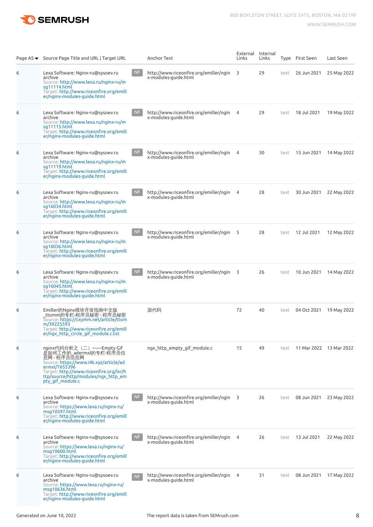

|   | Page AS ▼ Source Page Title and URL   Target URL                                                                                                                                                                                   |                | Anchor Text                                                      | External<br>Links       | Internal<br>Links |      | Type First Seen | Last Seen               |
|---|------------------------------------------------------------------------------------------------------------------------------------------------------------------------------------------------------------------------------------|----------------|------------------------------------------------------------------|-------------------------|-------------------|------|-----------------|-------------------------|
| 6 | Lexa Software: Nginx-ru@sysoev.ru<br>archive<br>Source: http://www.lexa.ru/nginx-ru/m<br>sq11114.html<br>Target: http://www.riceonfire.org/emill<br>er/nginx-modules-guide.html                                                    | <b>NF</b>      | http://www.riceonfire.org/emiller/ngin<br>x-modules-guide.html   | 3                       | 29                | text | 26 Jun 2021     | 25 May 2022             |
| 6 | Lexa Software: Nginx-ru@sysoev.ru<br>archive<br>Source: http://www.lexa.ru/nginx-ru/m<br>sg11115.html<br>Target: http://www.riceonfire.org/emill<br>er/nginx-modules-guide.html                                                    | <b>NF</b>      | http://www.riceonfire.org/emiller/ngin<br>x-modules-guide.html   | $\overline{4}$          | 29                | text | 18 Jul 2021     | 19 May 2022             |
| 6 | Lexa Software: Nginx-ru@sysoev.ru<br>archive<br>Source: http://www.lexa.ru/nginx-ru/m<br>sg11119.html<br>Target: http://www.riceonfire.org/emill<br>er/nginx-modules-guide.html                                                    | <b>NF</b>      | http://www.riceonfire.org/emiller/ngin<br>x-modules-guide.html   | $\overline{4}$          | 30                | text | 13 Jun 2021     | 14 May 2022             |
| 6 | Lexa Software: Nginx-ru@sysoev.ru<br>archive<br>Source: http://www.lexa.ru/nginx-ru/m<br>sq16034.html<br>Target: http://www.riceonfire.org/emill<br>er/nginx-modules-guide.html                                                    | NF             | http://www.riceonfire.org/emiller/ngin<br>x-modules-guide.html   | -4                      | 28                | text | 30 Jun 2021     | 22 May 2022             |
| 6 | Lexa Software: Nginx-ru@sysoev.ru<br>archive<br>Source: http://www.lexa.ru/nginx-ru/m<br>sq16036.html<br>Target: http://www.riceonfire.org/emill<br>er/nginx-modules-guide.html                                                    | NF             | http://www.riceonfire.org/emiller/ngin<br>x-modules-guide.html   | $-5$                    | 28                | text | 12 Jul 2021     | 12 May 2022             |
| 6 | Lexa Software: Nginx-ru@sysoev.ru<br>archive<br>Source: http://www.lexa.ru/nginx-ru/m<br>sq16045.html<br>Target: http://www.riceonfire.org/emill<br>er/nginx-modules-guide.html                                                    | <b>NF</b>      | http://www.riceonfire.org/emiller/ngin<br>x-modules-guide.html   | $\overline{\mathbf{3}}$ | 26                | text | 10 Jun 2021     | 14 May 2022             |
| 6 | Emiller的Nginx模块开发指南中文版<br>_ttomm的专栏-程序员秘密 - 程序员秘密<br>Source: https://cxymm.net/article/ttom<br>m/39225593<br>Target: http://www.riceonfire.org/emill<br>er/ngx_http_circle_gir_module.c.txt                                        |                | 源代码                                                              | 72                      | 40                | text |                 | 04 Oct 2021 19 May 2022 |
| 6 | nginx代码分析之(二)——Empty Gif<br>是如何工作的_adermxl的专栏-程序员信<br>息网 - 程序员信息网<br>Source: https://www.i4k.xyz/article/ad<br>ermxl/7655396<br>Target: http://www.riceonfire.org/lxr/h<br>ttp/source/http/modules/ngx http em<br>pty gif module.c |                | ngx http empty gif module.c                                      | 15                      | 49                | text |                 | 11 Mar 2022 13 Mar 2022 |
| 6 | Lexa Software: Nginx-ru@sysoev.ru<br>archive<br>Source: https://www.lexa.ru/nginx-ru/<br>msq10597.html<br>Target: http://www.riceonfire.org/emill<br>er/nginx-modules-guide.html                                                   | NF             | http://www.riceonfire.org/emiller/ngin 3<br>x-modules-quide.html |                         | 26                | text |                 | 08 Jun 2021 23 May 2022 |
| 6 | Lexa Software: Nginx-ru@sysoev.ru<br>archive<br>Source: https://www.lexa.ru/nginx-ru/<br>msg10600.html<br>Target: http://www.riceonfire.org/emill<br>er/nginx-modules-guide.html                                                   | N <sub>F</sub> | http://www.riceonfire.org/emiller/ngin 4<br>x-modules-guide.html |                         | 26                | text | 13 Jul 2021     | 22 May 2022             |
| 6 | Lexa Software: Nginx-ru@sysoev.ru<br>archive<br>Source: https://www.lexa.ru/nginx-ru/<br>msg10636.html<br>Target: http://www.riceonfire.org/emill<br>er/nginx-modules-guide.html                                                   | <b>NF</b>      | http://www.riceonfire.org/emiller/ngin 4<br>x-modules-guide.html |                         | 31                | text |                 | 08 Jun 2021 17 May 2022 |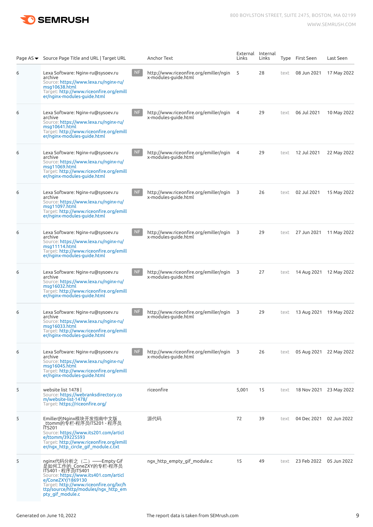

|   | Page AS ▼ Source Page Title and URL   Target URL                                                                                                                                                                                            |           | Anchor Text                                                      | External<br>Links | Internal<br>Links |      | Type First Seen         | Last Seen               |
|---|---------------------------------------------------------------------------------------------------------------------------------------------------------------------------------------------------------------------------------------------|-----------|------------------------------------------------------------------|-------------------|-------------------|------|-------------------------|-------------------------|
| 6 | Lexa Software: Nginx-ru@sysoev.ru<br>archive<br>Source: https://www.lexa.ru/nginx-ru/<br>$mg10638$ .html<br>Target: http://www.riceonfire.org/emill<br>er/nginx-modules-guide.html                                                          | <b>NF</b> | http://www.riceonfire.org/emiller/ngin<br>x-modules-guide.html   | - 5               | 28                | text | 08 Jun 2021             | 17 May 2022             |
| 6 | Lexa Software: Nginx-ru@sysoev.ru<br>archive<br>Source: https://www.lexa.ru/nginx-ru/<br>msg10641.html<br>Target: http://www.riceonfire.org/emill<br>er/nginx-modules-quide.html                                                            | <b>NF</b> | http://www.riceonfire.org/emiller/ngin 4<br>x-modules-guide.html |                   | 29                | text | 06 Jul 2021             | 10 May 2022             |
| 6 | Lexa Software: Nginx-ru@sysoev.ru<br>archive<br>Source: https://www.lexa.ru/nginx-ru/<br>msg11069.html<br>Target: http://www.riceonfire.org/emill<br>er/nginx-modules-guide.html                                                            | <b>NF</b> | http://www.riceonfire.org/emiller/ngin<br>x-modules-guide.html   | 4                 | 29                | text | 12 Jul 2021             | 22 May 2022             |
| 6 | Lexa Software: Nginx-ru@sysoev.ru<br>archive<br>Source: https://www.lexa.ru/nginx-ru/<br>msg11097.html<br>Target: http://www.riceonfire.org/emill<br>er/nginx-modules-guide.html                                                            | NF        | http://www.riceonfire.org/emiller/ngin 3<br>x-modules-guide.html |                   | 26                | text | 02 Jul 2021             | 15 May 2022             |
| 6 | Lexa Software: Nginx-ru@sysoev.ru<br>archive<br>Source: https://www.lexa.ru/nginx-ru/<br>msg11114.html<br>Target: http://www.riceonfire.org/emill<br>er/nginx-modules-guide.html                                                            | NF        | http://www.riceonfire.org/emiller/ngin 3<br>x-modules-guide.html |                   | 29                | text | 27 Jun 2021             | 11 May 2022             |
| 6 | Lexa Software: Nginx-ru@sysoev.ru<br>archive<br>Source: https://www.lexa.ru/nginx-ru/<br>mgq16032.html<br>Target: http://www.riceonfire.org/emill<br>er/nginx-modules-guide.html                                                            | <b>NF</b> | http://www.riceonfire.org/emiller/ngin 3<br>x-modules-guide.html |                   | 27                | text |                         | 14 Aug 2021 12 May 2022 |
| 6 | Lexa Software: Nginx-ru@sysoev.ru<br>archive<br>Source: https://www.lexa.ru/nginx-ru/<br>mg <sub>16033.html</sub><br>Target: http://www.riceonfire.org/emill<br>er/nginx-modules-guide.html                                                 | NF        | http://www.riceonfire.org/emiller/ngin 3<br>x-modules-guide.html |                   | 29                | text |                         | 13 Aug 2021 19 May 2022 |
| 6 | Lexa Software: Nginx-ru@sysoev.ru<br>archive<br>Source: https://www.lexa.ru/nginx-ru/<br>msg16045.html<br>Target: http://www.riceonfire.org/emill<br>er/nginx-modules-guide.html                                                            | NF        | http://www.riceonfire.org/emiller/ngin 3<br>x-modules-guide.html |                   | 26                | text |                         | 05 Aug 2021 22 May 2022 |
| 5 | website list 1478  <br>Source: https://webranksdirectory.co<br>m/website-list-1478/<br>Target: https://riceonfire.org/                                                                                                                      |           | riceonfire                                                       | 5,001             | 15                | text | 18 Nov 2021 23 May 2022 |                         |
| 5 | Emiller的Nginx模块开发指南中文版<br>_ttomm的专栏-程序员ITS201 - 程序员<br><b>ITS201</b><br>Source: https://www.its201.com/articl<br>e/ttomm/39225593<br>Target: http://www.riceonfire.org/emill<br>er/ngx http circle gif module.c.txt                         |           | 源代码                                                              | 72                | 39                | text |                         | 04 Dec 2021 02 Jun 2022 |
| 5 | nginx代码分析之(二)——Empty Gif<br>是如何工作的_ConeZXY的专栏-程序员<br>ITS401 - 程序员ITS401<br>Source: https://www.its401.com/articl<br>e/ConeZXY/1869130<br>Target: http://www.riceonfire.org/lxr/h<br>ttp/source/http/modules/ngx_http_em<br>pty gif module.c |           | ngx http empty gif module.c                                      | 15                | 49                | text |                         | 23 Feb 2022 05 Jun 2022 |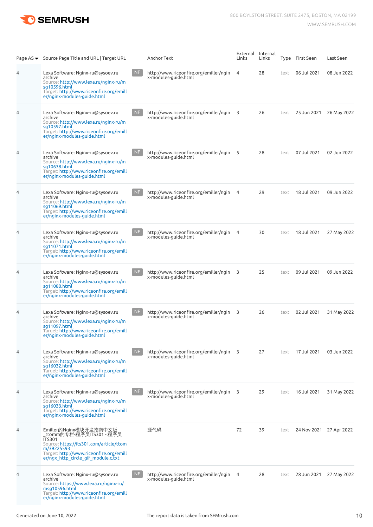

|   | Page AS ▼ Source Page Title and URL   Target URL                                                                                                                                                                |           | Anchor Text                                                      | External<br>Links       | Internal<br>Links |      | Type First Seen | Last Seen               |
|---|-----------------------------------------------------------------------------------------------------------------------------------------------------------------------------------------------------------------|-----------|------------------------------------------------------------------|-------------------------|-------------------|------|-----------------|-------------------------|
| 4 | Lexa Software: Nginx-ru@sysoev.ru<br>archive<br>Source: http://www.lexa.ru/nginx-ru/m<br>sq10596.html<br>Target: http://www.riceonfire.org/emill<br>er/nginx-modules-quide.html                                 | <b>NF</b> | http://www.riceonfire.org/emiller/ngin<br>x-modules-guide.html   | 4                       | 28                | text | 06 Jul 2021     | 08 Jun 2022             |
| 4 | Lexa Software: Nginx-ru@sysoev.ru<br>archive<br>Source: http://www.lexa.ru/nginx-ru/m<br>sq10597.html<br>Target: http://www.riceonfire.org/emill<br>er/nginx-modules-guide.html                                 | <b>NF</b> | http://www.riceonfire.org/emiller/ngin<br>x-modules-guide.html   | $\overline{\mathbf{3}}$ | 26                | text | 25 Jun 2021     | 26 May 2022             |
| 4 | Lexa Software: Nginx-ru@sysoev.ru<br>archive<br>Source: http://www.lexa.ru/nginx-ru/m<br>sq10638.html<br>Target: http://www.riceonfire.org/emill<br>er/nginx-modules-guide.html                                 | <b>NF</b> | http://www.riceonfire.org/emiller/ngin<br>x-modules-guide.html   | - 5                     | 28                | text | 07 Jul 2021     | 02 Jun 2022             |
| 4 | Lexa Software: Nginx-ru@sysoev.ru<br>archive<br>Source: http://www.lexa.ru/nginx-ru/m<br>sq11069.html<br>Target: http://www.riceonfire.org/emill<br>er/nginx-modules-guide.html                                 | NF        | http://www.riceonfire.org/emiller/ngin<br>x-modules-guide.html   | $\overline{4}$          | 29                | text | 18 Jul 2021     | 09 Jun 2022             |
| 4 | Lexa Software: Nginx-ru@sysoev.ru<br>archive<br>Source: http://www.lexa.ru/nginx-ru/m<br>sq11071.html<br>Target: http://www.riceonfire.org/emill<br>er/nginx-modules-guide.html                                 | NF        | http://www.riceonfire.org/emiller/ngin<br>x-modules-guide.html   | $\overline{4}$          | 30                | text | 18 Jul 2021     | 27 May 2022             |
| 4 | Lexa Software: Nginx-ru@sysoev.ru<br>archive<br>Source: http://www.lexa.ru/nginx-ru/m<br>sq11080.html<br>Target: http://www.riceonfire.org/emill<br>er/nginx-modules-guide.html                                 | <b>NF</b> | http://www.riceonfire.org/emiller/ngin<br>x-modules-guide.html   | $\overline{\mathbf{3}}$ | 25                | text | 09 Jul 2021     | 09 Jun 2022             |
| 4 | Lexa Software: Nginx-ru@sysoev.ru<br>archive<br>Source: http://www.lexa.ru/nginx-ru/m<br>sg11097.html<br>Target: http://www.riceonfire.org/emill<br>er/nginx-modules-quide.html                                 | NF        | http://www.riceonfire.org/emiller/ngin 3<br>x-modules-guide.html |                         | 26                | text | 02 Jul 2021     | 31 May 2022             |
| 4 | Lexa Software: Nginx-ru@sysoev.ru<br>archive<br>Source: http://www.lexa.ru/nginx-ru/m<br>sq16032.html<br>Target: http://www.riceonfire.org/emill<br>er/nginx-modules-guide.html                                 | NF        | http://www.riceonfire.org/emiller/ngin 3<br>x-modules-quide.html |                         | 27                | text | 17 Jul 2021     | 03 Jun 2022             |
| 4 | Lexa Software: Nginx-ru@sysoev.ru<br>archive<br>Source: http://www.lexa.ru/nginx-ru/m<br>sq16033.html<br>Target: http://www.riceonfire.org/emill<br>er/nginx-modules-guide.html                                 | NF        | http://www.riceonfire.org/emiller/ngin 3<br>x-modules-guide.html |                         | 29                | text | 16 Jul 2021     | 31 May 2022             |
| 4 | Emiller的Nginx模块开发指南中文版<br>_ttomm的专栏-程序员ITS301 - 程序员<br><b>ITS301</b><br>Source: https://its301.com/article/ttom<br>m/39225593<br>Target: http://www.riceonfire.org/emill<br>er/ngx http circle gif module.c.txt |           | 源代码                                                              | 72                      | 39                | text |                 | 24 Nov 2021 27 Apr 2022 |
| 4 | Lexa Software: Nginx-ru@sysoev.ru<br>archive<br>Source: https://www.lexa.ru/nginx-ru/<br>msq10596.html<br>Target: http://www.riceonfire.org/emill<br>er/nginx-modules-guide.html                                | <b>NF</b> | http://www.riceonfire.org/emiller/ngin 4<br>x-modules-guide.html |                         | 28                | text | 28 Jun 2021     | 27 May 2022             |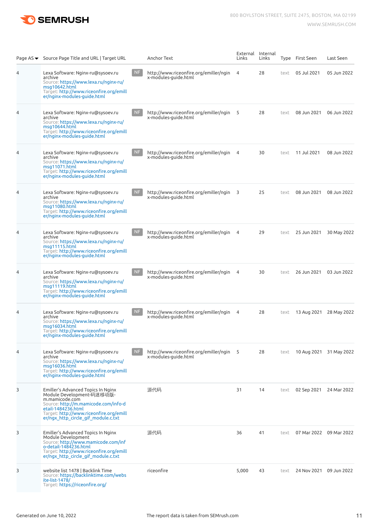

|                | Page AS ▼ Source Page Title and URL   Target URL                                                                                                                                                                                  |           | Anchor Text                                                      | External<br>Links       | Internal<br>Links |      | Type First Seen | Last Seen               |
|----------------|-----------------------------------------------------------------------------------------------------------------------------------------------------------------------------------------------------------------------------------|-----------|------------------------------------------------------------------|-------------------------|-------------------|------|-----------------|-------------------------|
| 4              | Lexa Software: Nginx-ru@sysoev.ru<br>archive<br>Source: https://www.lexa.ru/nginx-ru/<br>msq10642.html<br>Target: http://www.riceonfire.org/emill<br>er/nginx-modules-guide.html                                                  | <b>NF</b> | http://www.riceonfire.org/emiller/ngin<br>x-modules-guide.html   | 4                       | 28                | text | 05 Jul 2021     | 05 Jun 2022             |
| 4              | Lexa Software: Nginx-ru@sysoev.ru<br>archive<br>Source: https://www.lexa.ru/nginx-ru/<br>msq10644.html<br>Target: http://www.riceonfire.org/emill<br>er/nginx-modules-guide.html                                                  | <b>NF</b> | http://www.riceonfire.org/emiller/ngin<br>x-modules-guide.html   | - 5                     | 28                | text | 08 Jun 2021     | 06 Jun 2022             |
| 4              | Lexa Software: Nginx-ru@sysoev.ru<br>archive<br>Source: https://www.lexa.ru/nginx-ru/<br>msg11071.html<br>Target: http://www.riceonfire.org/emill<br>er/nginx-modules-guide.html                                                  | <b>NF</b> | http://www.riceonfire.org/emiller/ngin<br>x-modules-guide.html   | 4                       | 30                | text | 11 Jul 2021     | 08 Jun 2022             |
| 4              | Lexa Software: Nginx-ru@sysoev.ru<br>archive<br>Source: https://www.lexa.ru/nginx-ru/<br>msq11080.html<br>Target: http://www.riceonfire.org/emill<br>er/nginx-modules-guide.html                                                  | NF        | http://www.riceonfire.org/emiller/ngin<br>x-modules-guide.html   | $\overline{\mathbf{3}}$ | 25                | text | 08 Jun 2021     | 08 Jun 2022             |
| 4              | Lexa Software: Nginx-ru@sysoev.ru<br>archive<br>Source: https://www.lexa.ru/nginx-ru/<br>msq11115.html<br>Target: http://www.riceonfire.org/emill<br>er/nginx-modules-guide.html                                                  | NF        | http://www.riceonfire.org/emiller/ngin<br>x-modules-guide.html   | $\overline{4}$          | 29                | text | 25 Jun 2021     | 30 May 2022             |
| 4              | Lexa Software: Nginx-ru@sysoev.ru<br>archive<br>Source: https://www.lexa.ru/nginx-ru/<br>msg11119.html<br>Target: http://www.riceonfire.org/emill<br>er/nginx-modules-guide.html                                                  | <b>NF</b> | http://www.riceonfire.org/emiller/ngin<br>x-modules-guide.html   | 4                       | 30                | text | 26 Jun 2021     | 03 Jun 2022             |
| $\overline{4}$ | Lexa Software: Nginx-ru@sysoev.ru<br>archive<br>Source: https://www.lexa.ru/nginx-ru/<br>mg <sub>16034.html</sub><br>Target: http://www.riceonfire.org/emill<br>er/nginx-modules-guide.html                                       | NF        | http://www.riceonfire.org/emiller/ngin 4<br>x-modules-guide.html |                         | 28                | text |                 | 13 Aug 2021 28 May 2022 |
| 4              | Lexa Software: Nginx-ru@sysoev.ru<br>archive<br>Source: https://www.lexa.ru/nginx-ru/<br>msg16036.html<br>Target: http://www.riceonfire.org/emill<br>er/nginx-modules-guide.html                                                  | NF        | http://www.riceonfire.org/emiller/ngin 5<br>x-modules-quide.html |                         | 28                | text |                 | 10 Aug 2021 31 May 2022 |
| 3              | Emiller's Advanced Topics In Nginx<br>Module Development-码迷移动版-<br>m.mamicode.com<br>Source: http://m.mamicode.com/info-d<br>etail-1484236.html<br>Target: http://www.riceonfire.org/emill<br>er/ngx_http_circle_gif_module.c.txt |           | 源代码                                                              | 31                      | 14                | text |                 | 02 Sep 2021 24 Mar 2022 |
| 3              | Emiller's Advanced Topics In Nginx<br>Module Development<br>Source: http://www.mamicode.com/inf<br>o-detail-1484236.html<br>Target: http://www.riceonfire.org/emill<br>er/ngx_http_circle_gif_module.c.txt                        |           | 源代码                                                              | 36                      | 41                | text |                 | 07 Mar 2022 09 Mar 2022 |
| 3              | website list 1478   Backlink Time<br>Source: https://backlinktime.com/webs<br>ite-list-1478/<br>Target: https://riceonfire.org/                                                                                                   |           | riceonfire                                                       | 5,000                   | 43                | text |                 | 24 Nov 2021 09 Jun 2022 |